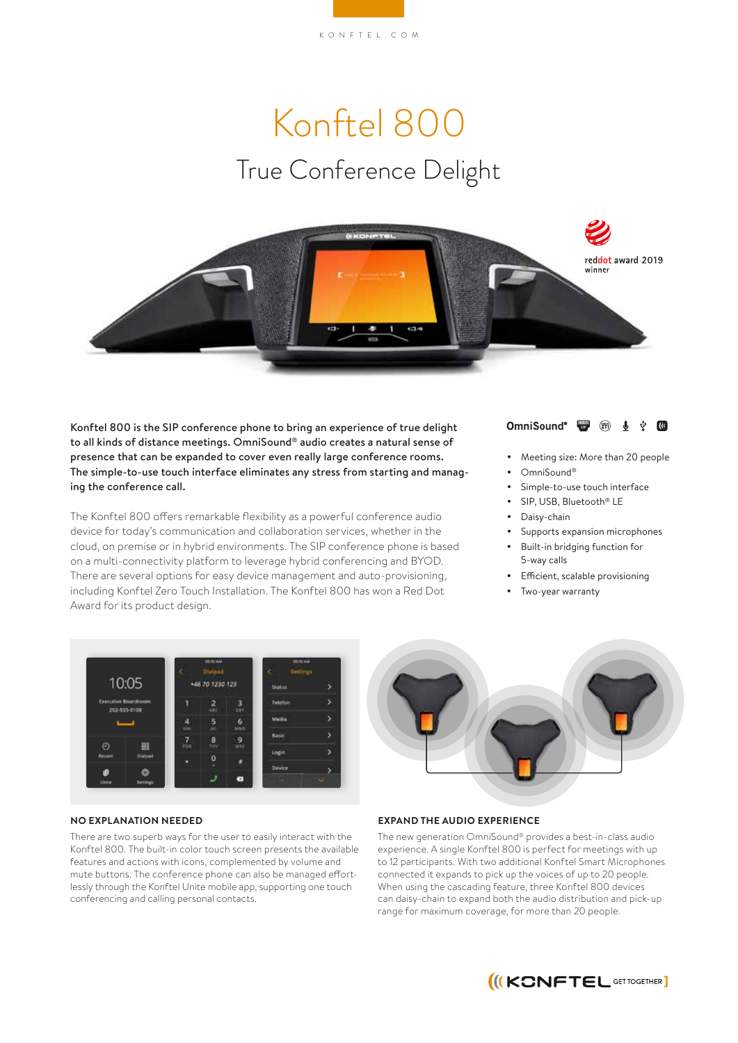# Konftel 800 True Conference Delight



Konftel 800 is the SIP conference phone to bring an experience of true delight to all kinds of distance meetings. OmniSound® audio creates a natural sense of presence that can be expanded to cover even really large conference rooms. The simple-to-use touch interface eliminates any stress from starting and managing the conference call.

The Konftel 800 offers remarkable flexibility as a powerful conference audio device for today's communication and collaboration services, whether in the cloud, on premise or in hybrid environments. The SIP conference phone is based on a multi-connectivity platform to leverage hybrid conferencing and BYOD. There are several options for easy device management and auto-provisioning, including Konftel Zero Touch Installation. The Konftel 800 has won a Red Dot Award for its product design.



- Meeting size: More than 20 people
	- y OmniSound®
- Simple-to-use touch interface
- SIP, USB, Bluetooth® LE
- Daisy-chain
- Supports expansion microphones
- Built-in bridging function for 5-way calls
- Efficient, scalable provisioning
- Two-year warranty



#### **NO EXPLANATION NEEDED**

There are two superb ways for the user to easily interact with the Konftel 800. The built-in color touch screen presents the available features and actions with icons, complemented by volume and mute buttons. The conference phone can also be managed effortlessly through the Konftel Unite mobile app, supporting one touch conferencing and calling personal contacts.

### **EXPAND THE AUDIO EXPERIENCE**

The new generation OmniSound® provides a best-in-class audio experience. A single Konftel 800 is perfect for meetings with up to 12 participants. With two additional Konftel Smart Microphones connected it expands to pick up the voices of up to 20 people. When using the cascading feature, three Konftel 800 devices can daisy-chain to expand both the audio distribution and pick-up range for maximum coverage, for more than 20 people.